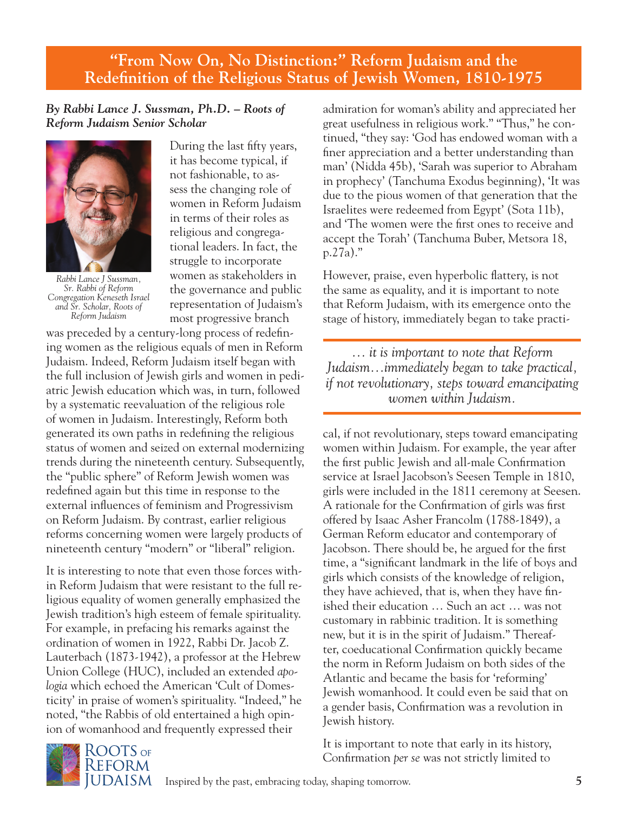## **"From Now On, No Distinction:" Reform Judaism and the Redefinition of the Religious Status of Jewish Women, 1810-1975**

## *By Rabbi Lance J. Sussman, Ph.D. – Roots of Reform Judaism Senior Scholar*



*Rabbi Lance J Sussman, Sr. Rabbi of Reform Congregation Keneseth Israel and Sr. Scholar, Roots of Reform Judaism*

During the last fifty years, it has become typical, if not fashionable, to assess the changing role of women in Reform Judaism in terms of their roles as religious and congregational leaders. In fact, the struggle to incorporate women as stakeholders in the governance and public representation of Judaism's most progressive branch

was preceded by a century-long process of redefining women as the religious equals of men in Reform Judaism. Indeed, Reform Judaism itself began with the full inclusion of Jewish girls and women in pediatric Jewish education which was, in turn, followed by a systematic reevaluation of the religious role of women in Judaism. Interestingly, Reform both generated its own paths in redefining the religious status of women and seized on external modernizing trends during the nineteenth century. Subsequently, the "public sphere" of Reform Jewish women was redefined again but this time in response to the external influences of feminism and Progressivism on Reform Judaism. By contrast, earlier religious reforms concerning women were largely products of nineteenth century "modern" or "liberal" religion.

It is interesting to note that even those forces within Reform Judaism that were resistant to the full religious equality of women generally emphasized the Jewish tradition's high esteem of female spirituality. For example, in prefacing his remarks against the ordination of women in 1922, Rabbi Dr. Jacob Z. Lauterbach (1873-1942), a professor at the Hebrew Union College (HUC), included an extended *apologia* which echoed the American 'Cult of Domesticity' in praise of women's spirituality. "Indeed," he noted, "the Rabbis of old entertained a high opinion of womanhood and frequently expressed their

admiration for woman's ability and appreciated her great usefulness in religious work." "Thus," he continued, "they say: 'God has endowed woman with a finer appreciation and a better understanding than man' (Nidda 45b), 'Sarah was superior to Abraham in prophecy' (Tanchuma Exodus beginning), 'It was due to the pious women of that generation that the Israelites were redeemed from Egypt' (Sota 11b), and 'The women were the first ones to receive and accept the Torah' (Tanchuma Buber, Metsora 18, p.27a)."

However, praise, even hyperbolic flattery, is not the same as equality, and it is important to note that Reform Judaism, with its emergence onto the stage of history, immediately began to take practi-

*… it is important to note that Reform Judaism…immediately began to take practical, if not revolutionary, steps toward emancipating women within Judaism.*

cal, if not revolutionary, steps toward emancipating women within Judaism. For example, the year after the first public Jewish and all-male Confirmation service at Israel Jacobson's Seesen Temple in 1810, girls were included in the 1811 ceremony at Seesen. A rationale for the Confirmation of girls was first offered by Isaac Asher Francolm (1788-1849), a German Reform educator and contemporary of Jacobson. There should be, he argued for the first time, a "significant landmark in the life of boys and girls which consists of the knowledge of religion, they have achieved, that is, when they have finished their education … Such an act … was not customary in rabbinic tradition. It is something new, but it is in the spirit of Judaism." Thereafter, coeducational Confirmation quickly became the norm in Reform Judaism on both sides of the Atlantic and became the basis for 'reforming' Jewish womanhood. It could even be said that on a gender basis, Confirmation was a revolution in Jewish history.

It is important to note that early in its history, Confirmation *per se* was not strictly limited to

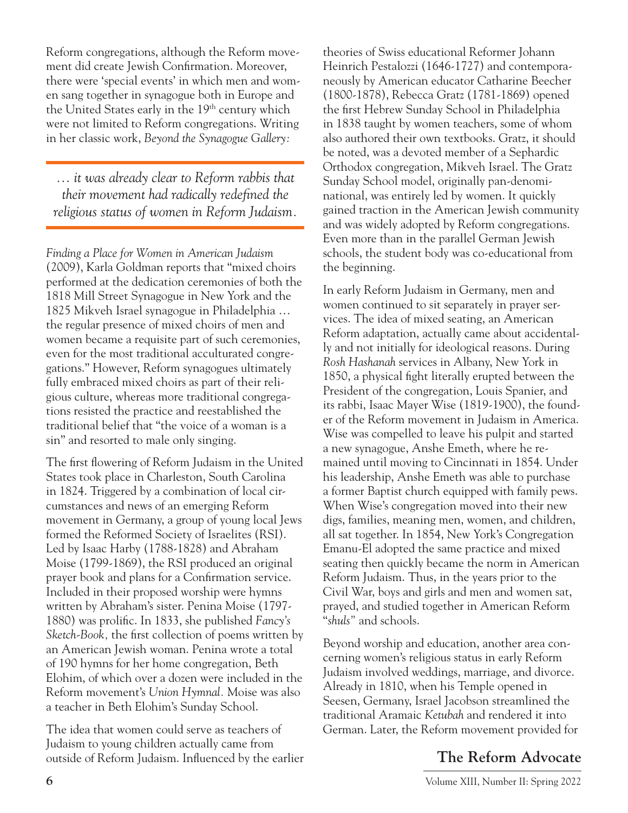Reform congregations, although the Reform movement did create Jewish Confirmation. Moreover, there were 'special events' in which men and women sang together in synagogue both in Europe and the United States early in the 19<sup>th</sup> century which were not limited to Reform congregations. Writing in her classic work, *Beyond the Synagogue Gallery:* 

*… it was already clear to Reform rabbis that their movement had radically redefined the religious status of women in Reform Judaism.*

*Finding a Place for Women in American Judaism*  (2009), Karla Goldman reports that "mixed choirs performed at the dedication ceremonies of both the 1818 Mill Street Synagogue in New York and the 1825 Mikveh Israel synagogue in Philadelphia … the regular presence of mixed choirs of men and women became a requisite part of such ceremonies, even for the most traditional acculturated congregations." However, Reform synagogues ultimately fully embraced mixed choirs as part of their religious culture, whereas more traditional congregations resisted the practice and reestablished the traditional belief that "the voice of a woman is a sin" and resorted to male only singing.

The first flowering of Reform Judaism in the United States took place in Charleston, South Carolina in 1824. Triggered by a combination of local circumstances and news of an emerging Reform movement in Germany, a group of young local Jews formed the Reformed Society of Israelites (RSI). Led by Isaac Harby (1788-1828) and Abraham Moise (1799-1869), the RSI produced an original prayer book and plans for a Confirmation service. Included in their proposed worship were hymns written by Abraham's sister. Penina Moise (1797- 1880) was prolific. In 1833, she published *Fancy's Sketch-Book,* the first collection of poems written by an American Jewish woman. Penina wrote a total of 190 hymns for her home congregation, Beth Elohim, of which over a dozen were included in the Reform movement's *Union Hymnal.* Moise was also a teacher in Beth Elohim's Sunday School.

The idea that women could serve as teachers of Judaism to young children actually came from outside of Reform Judaism. Influenced by the earlier theories of Swiss educational Reformer Johann Heinrich Pestalozzi (1646-1727) and contemporaneously by American educator Catharine Beecher (1800-1878), Rebecca Gratz (1781-1869) opened the first Hebrew Sunday School in Philadelphia in 1838 taught by women teachers, some of whom also authored their own textbooks. Gratz, it should be noted, was a devoted member of a Sephardic Orthodox congregation, Mikveh Israel. The Gratz Sunday School model, originally pan-denominational, was entirely led by women. It quickly gained traction in the American Jewish community and was widely adopted by Reform congregations. Even more than in the parallel German Jewish schools, the student body was co-educational from the beginning.

In early Reform Judaism in Germany, men and women continued to sit separately in prayer services. The idea of mixed seating, an American Reform adaptation, actually came about accidentally and not initially for ideological reasons. During *Rosh Hashanah* services in Albany, New York in 1850, a physical fight literally erupted between the President of the congregation, Louis Spanier, and its rabbi, Isaac Mayer Wise (1819-1900), the founder of the Reform movement in Judaism in America. Wise was compelled to leave his pulpit and started a new synagogue, Anshe Emeth, where he remained until moving to Cincinnati in 1854. Under his leadership, Anshe Emeth was able to purchase a former Baptist church equipped with family pews. When Wise's congregation moved into their new digs, families, meaning men, women, and children, all sat together. In 1854, New York's Congregation Emanu-El adopted the same practice and mixed seating then quickly became the norm in American Reform Judaism. Thus, in the years prior to the Civil War, boys and girls and men and women sat, prayed, and studied together in American Reform "*shuls"* and schools.

Beyond worship and education, another area concerning women's religious status in early Reform Judaism involved weddings, marriage, and divorce. Already in 1810, when his Temple opened in Seesen, Germany, Israel Jacobson streamlined the traditional Aramaic *Ketubah* and rendered it into German. Later, the Reform movement provided for

## **The Reform Advocate**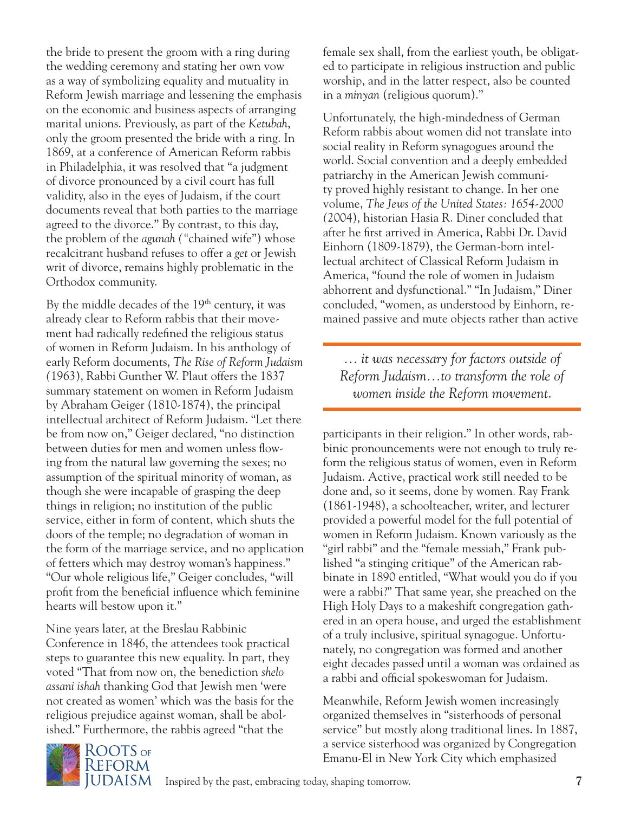the bride to present the groom with a ring during the wedding ceremony and stating her own vow as a way of symbolizing equality and mutuality in Reform Jewish marriage and lessening the emphasis on the economic and business aspects of arranging marital unions. Previously, as part of the *Ketubah*, only the groom presented the bride with a ring. In 1869, at a conference of American Reform rabbis in Philadelphia, it was resolved that "a judgment of divorce pronounced by a civil court has full validity, also in the eyes of Judaism, if the court documents reveal that both parties to the marriage agreed to the divorce." By contrast, to this day, the problem of the *agunah ("*chained wife") whose recalcitrant husband refuses to offer a *get* or Jewish writ of divorce, remains highly problematic in the Orthodox community.

By the middle decades of the  $19<sup>th</sup>$  century, it was already clear to Reform rabbis that their movement had radically redefined the religious status of women in Reform Judaism. In his anthology of early Reform documents, *The Rise of Reform Judaism (*1963), Rabbi Gunther W. Plaut offers the 1837 summary statement on women in Reform Judaism by Abraham Geiger (1810-1874), the principal intellectual architect of Reform Judaism. "Let there be from now on," Geiger declared, "no distinction between duties for men and women unless flowing from the natural law governing the sexes; no assumption of the spiritual minority of woman, as though she were incapable of grasping the deep things in religion; no institution of the public service, either in form of content, which shuts the doors of the temple; no degradation of woman in the form of the marriage service, and no application of fetters which may destroy woman's happiness." "Our whole religious life," Geiger concludes, "will profit from the beneficial influence which feminine hearts will bestow upon it."

Nine years later, at the Breslau Rabbinic Conference in 1846, the attendees took practical steps to guarantee this new equality. In part, they voted "That from now on, the benediction *shelo assani ishah* thanking God that Jewish men 'were not created as women' which was the basis for the religious prejudice against woman, shall be abolished." Furthermore, the rabbis agreed "that the



Unfortunately, the high-mindedness of German Reform rabbis about women did not translate into social reality in Reform synagogues around the world. Social convention and a deeply embedded patriarchy in the American Jewish community proved highly resistant to change. In her one volume, *The Jews of the United States: 1654-2000 (*2004), historian Hasia R. Diner concluded that after he first arrived in America, Rabbi Dr. David Einhorn (1809-1879), the German-born intellectual architect of Classical Reform Judaism in America, "found the role of women in Judaism abhorrent and dysfunctional." "In Judaism," Diner concluded, "women, as understood by Einhorn, remained passive and mute objects rather than active

*… it was necessary for factors outside of Reform Judaism…to transform the role of women inside the Reform movement*.

participants in their religion." In other words, rabbinic pronouncements were not enough to truly reform the religious status of women, even in Reform Judaism. Active, practical work still needed to be done and, so it seems, done by women. Ray Frank (1861-1948), a schoolteacher, writer, and lecturer provided a powerful model for the full potential of women in Reform Judaism. Known variously as the "girl rabbi" and the "female messiah," Frank published "a stinging critique" of the American rabbinate in 1890 entitled, "What would you do if you were a rabbi?" That same year, she preached on the High Holy Days to a makeshift congregation gathered in an opera house, and urged the establishment of a truly inclusive, spiritual synagogue. Unfortunately, no congregation was formed and another eight decades passed until a woman was ordained as a rabbi and official spokeswoman for Judaism.

Meanwhile, Reform Jewish women increasingly organized themselves in "sisterhoods of personal service" but mostly along traditional lines. In 1887, a service sisterhood was organized by Congregation Emanu-El in New York City which emphasized